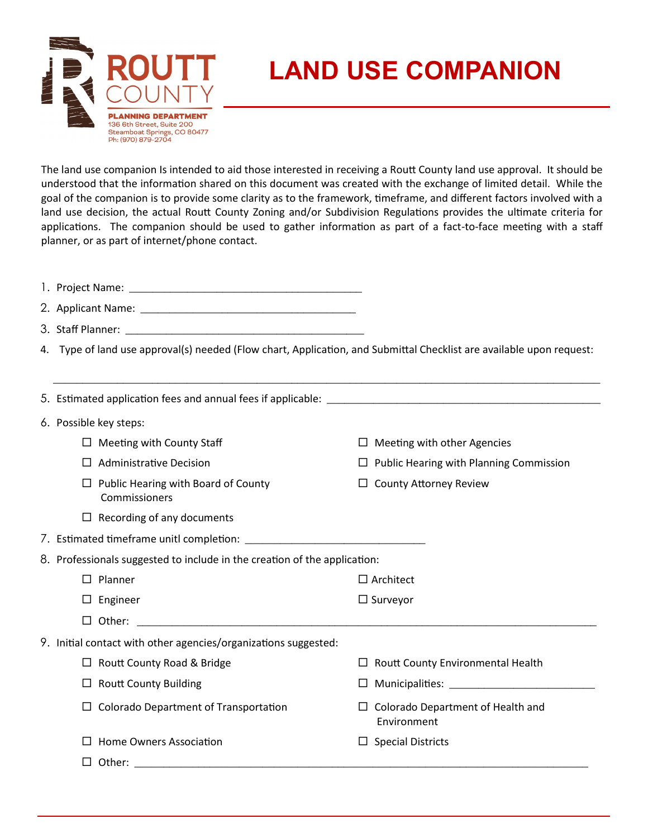

## **LAND USE COMPANION**

The land use companion Is intended to aid those interested in receiving a Routt County land use approval. It should be understood that the information shared on this document was created with the exchange of limited detail. While the goal of the companion is to provide some clarity as to the framework, timeframe, and different factors involved with a land use decision, the actual Routt County Zoning and/or Subdivision Regulations provides the ultimate criteria for applications. The companion should be used to gather information as part of a fact-to-face meeting with a staff planner, or as part of internet/phone contact.

| 1. Project Name: |  |
|------------------|--|
|                  |  |

| 2. Applicant Name: |  |
|--------------------|--|
|                    |  |

3. Staff Planner: \_\_\_\_\_\_\_\_\_\_\_\_\_\_\_\_\_\_\_\_\_\_\_\_\_\_\_\_\_\_\_\_\_\_\_\_\_\_\_\_\_

4. Type of land use approval(s) needed (Flow chart, Application, and Submittal Checklist are available upon request:

 $\overline{\phantom{a}}$  ,  $\overline{\phantom{a}}$  ,  $\overline{\phantom{a}}$  ,  $\overline{\phantom{a}}$  ,  $\overline{\phantom{a}}$  ,  $\overline{\phantom{a}}$  ,  $\overline{\phantom{a}}$  ,  $\overline{\phantom{a}}$  ,  $\overline{\phantom{a}}$  ,  $\overline{\phantom{a}}$  ,  $\overline{\phantom{a}}$  ,  $\overline{\phantom{a}}$  ,  $\overline{\phantom{a}}$  ,  $\overline{\phantom{a}}$  ,  $\overline{\phantom{a}}$  ,  $\overline{\phantom{a}}$ 

|                                                                           |        | 6. Possible key steps:                                                                                                         |        |                                                         |  |  |
|---------------------------------------------------------------------------|--------|--------------------------------------------------------------------------------------------------------------------------------|--------|---------------------------------------------------------|--|--|
|                                                                           |        | $\Box$ Meeting with County Staff                                                                                               | $\Box$ | Meeting with other Agencies                             |  |  |
|                                                                           |        | <b>Administrative Decision</b>                                                                                                 | $\Box$ | Public Hearing with Planning Commission                 |  |  |
|                                                                           |        | Public Hearing with Board of County<br>Commissioners                                                                           |        | $\Box$ County Attorney Review                           |  |  |
|                                                                           |        | $\Box$ Recording of any documents                                                                                              |        |                                                         |  |  |
|                                                                           |        |                                                                                                                                |        |                                                         |  |  |
| 8. Professionals suggested to include in the creation of the application: |        |                                                                                                                                |        |                                                         |  |  |
|                                                                           |        | Planner                                                                                                                        |        | $\Box$ Architect                                        |  |  |
|                                                                           | $\Box$ | Engineer                                                                                                                       |        | $\Box$ Surveyor                                         |  |  |
|                                                                           | □      | <u> 1989 - Jan James James Barnett, amerikan basar personal (h. 1989).</u><br>Other:                                           |        |                                                         |  |  |
|                                                                           |        | 9. Initial contact with other agencies/organizations suggested:                                                                |        |                                                         |  |  |
|                                                                           |        | $\Box$ Routt County Road & Bridge                                                                                              |        | Routt County Environmental Health                       |  |  |
|                                                                           |        | <b>Routt County Building</b>                                                                                                   | ப      |                                                         |  |  |
|                                                                           |        | Colorado Department of Transportation                                                                                          |        | $\Box$ Colorado Department of Health and<br>Environment |  |  |
|                                                                           |        | Home Owners Association                                                                                                        | $\Box$ | <b>Special Districts</b>                                |  |  |
|                                                                           |        | Other:<br><u> 1989 - Jan Sterlinger, skriuwski politik, matematik, matematik, matematik, matematik, matematik, matematik, </u> |        |                                                         |  |  |